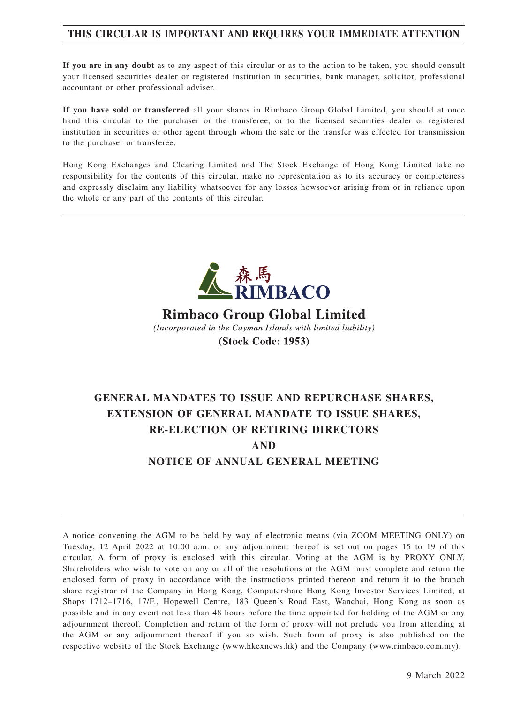# **THIS CIRCULAR IS IMPORTANT AND REQUIRES YOUR IMMEDIATE ATTENTION**

**If you are in any doubt** as to any aspect of this circular or as to the action to be taken, you should consult your licensed securities dealer or registered institution in securities, bank manager, solicitor, professional accountant or other professional adviser.

**If you have sold or transferred** all your shares in Rimbaco Group Global Limited, you should at once hand this circular to the purchaser or the transferee, or to the licensed securities dealer or registered institution in securities or other agent through whom the sale or the transfer was effected for transmission to the purchaser or transferee.

Hong Kong Exchanges and Clearing Limited and The Stock Exchange of Hong Kong Limited take no responsibility for the contents of this circular, make no representation as to its accuracy or completeness and expressly disclaim any liability whatsoever for any losses howsoever arising from or in reliance upon the whole or any part of the contents of this circular.



**Rimbaco Group Global Limited** (Incorporated in the Cayman Islands with limited liability) **(Stock Code: 1953)** 

# **GENERAL MANDATES TO ISSUE AND REPURCHASE SHARES, EXTENSION OF GENERAL MANDATE TO ISSUE SHARES, RE-ELECTION OF RETIRING DIRECTORS**

**AND**

**NOTICE OF ANNUAL GENERAL MEETING**

A notice convening the AGM to be held by way of electronic means (via ZOOM MEETING ONLY) on Tuesday, 12 April 2022 at 10:00 a.m. or any adjournment thereof is set out on pages 15 to 19 of this circular. A form of proxy is enclosed with this circular. Voting at the AGM is by PROXY ONLY. Shareholders who wish to vote on any or all of the resolutions at the AGM must complete and return the enclosed form of proxy in accordance with the instructions printed thereon and return it to the branch share registrar of the Company in Hong Kong, Computershare Hong Kong Investor Services Limited, at Shops 1712–1716, 17/F., Hopewell Centre, 183 Queen's Road East, Wanchai, Hong Kong as soon as possible and in any event not less than 48 hours before the time appointed for holding of the AGM or any adjournment thereof. Completion and return of the form of proxy will not prelude you from attending at the AGM or any adjournment thereof if you so wish. Such form of proxy is also published on the respective website of the Stock Exchange (www.hkexnews.hk) and the Company (www.rimbaco.com.my).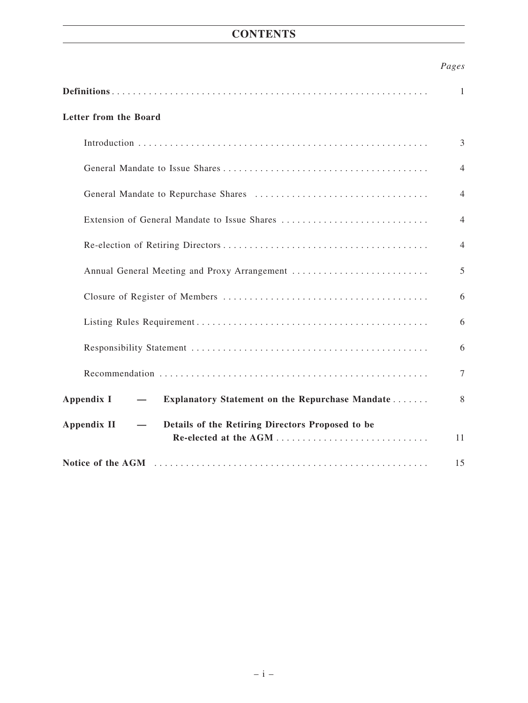# **CONTENTS**

## *Pages*

| Letter from the Board                                                                       |                |  |
|---------------------------------------------------------------------------------------------|----------------|--|
|                                                                                             | 3              |  |
|                                                                                             | $\overline{4}$ |  |
|                                                                                             | $\overline{4}$ |  |
| Extension of General Mandate to Issue Shares                                                | 4              |  |
|                                                                                             | $\overline{4}$ |  |
| Annual General Meeting and Proxy Arrangement                                                | 5              |  |
|                                                                                             | 6              |  |
|                                                                                             | 6              |  |
|                                                                                             | 6              |  |
|                                                                                             | $\tau$         |  |
| Appendix I<br>Explanatory Statement on the Repurchase Mandate                               | 8              |  |
| Details of the Retiring Directors Proposed to be<br>Appendix II<br>$\overline{\phantom{0}}$ | 11             |  |
|                                                                                             | 15             |  |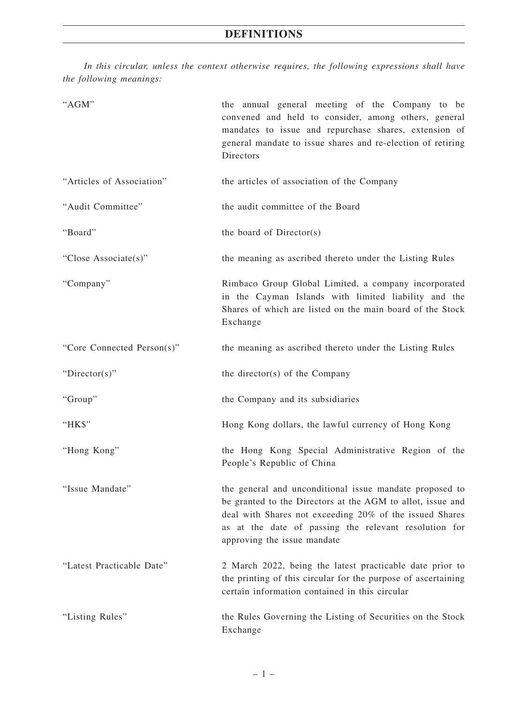*In this circular, unless the context otherwise requires, the following expressions shall have the following meanings:*

| "AGM"                      | the annual general meeting of the Company to be<br>convened and held to consider, among others, general<br>mandates to issue and repurchase shares, extension of<br>general mandate to issue shares and re-election of retiring<br>Directors                             |
|----------------------------|--------------------------------------------------------------------------------------------------------------------------------------------------------------------------------------------------------------------------------------------------------------------------|
| "Articles of Association"  | the articles of association of the Company                                                                                                                                                                                                                               |
| "Audit Committee"          | the audit committee of the Board                                                                                                                                                                                                                                         |
| "Board"                    | the board of Director(s)                                                                                                                                                                                                                                                 |
| "Close Associate(s)"       | the meaning as ascribed thereto under the Listing Rules                                                                                                                                                                                                                  |
| "Company"                  | Rimbaco Group Global Limited, a company incorporated<br>in the Cayman Islands with limited liability and the<br>Shares of which are listed on the main board of the Stock<br>Exchange                                                                                    |
| "Core Connected Person(s)" | the meaning as ascribed thereto under the Listing Rules                                                                                                                                                                                                                  |
| " $Directory$ "            | the director(s) of the Company                                                                                                                                                                                                                                           |
| "Group"                    | the Company and its subsidiaries                                                                                                                                                                                                                                         |
| "HK\$"                     | Hong Kong dollars, the lawful currency of Hong Kong                                                                                                                                                                                                                      |
| "Hong Kong"                | the Hong Kong Special Administrative Region of the<br>People's Republic of China                                                                                                                                                                                         |
| "Issue Mandate"            | the general and unconditional issue mandate proposed to<br>be granted to the Directors at the AGM to allot, issue and<br>deal with Shares not exceeding 20% of the issued Shares<br>as at the date of passing the relevant resolution for<br>approving the issue mandate |
| "Latest Practicable Date"  | 2 March 2022, being the latest practicable date prior to<br>the printing of this circular for the purpose of ascertaining<br>certain information contained in this circular                                                                                              |
| "Listing Rules"            | the Rules Governing the Listing of Securities on the Stock<br>Exchange                                                                                                                                                                                                   |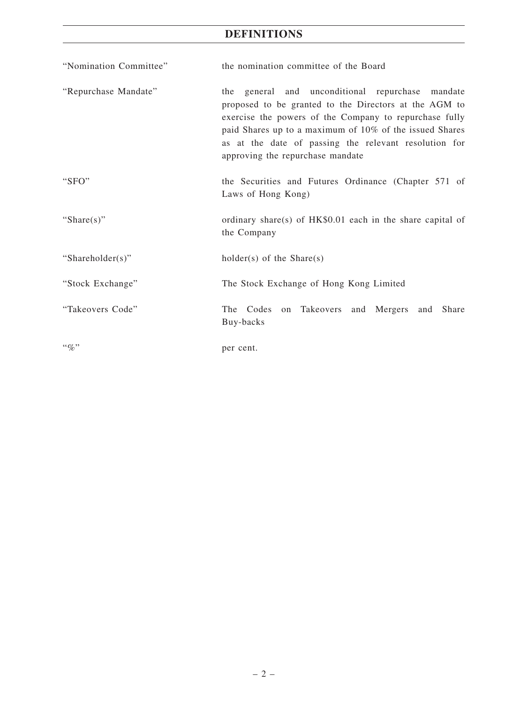# **DEFINITIONS**

| "Nomination Committee" | the nomination committee of the Board                                                                                                                                                                                                                                                                                       |  |  |
|------------------------|-----------------------------------------------------------------------------------------------------------------------------------------------------------------------------------------------------------------------------------------------------------------------------------------------------------------------------|--|--|
| "Repurchase Mandate"   | the general and unconditional repurchase mandate<br>proposed to be granted to the Directors at the AGM to<br>exercise the powers of the Company to repurchase fully<br>paid Shares up to a maximum of 10% of the issued Shares<br>as at the date of passing the relevant resolution for<br>approving the repurchase mandate |  |  |
| "SFO"                  | the Securities and Futures Ordinance (Chapter 571 of<br>Laws of Hong Kong)                                                                                                                                                                                                                                                  |  |  |
| "Share $(s)$ "         | ordinary share(s) of $HK$0.01$ each in the share capital of<br>the Company                                                                                                                                                                                                                                                  |  |  |
| "Shareholder(s)"       | $holder(s)$ of the Share(s)                                                                                                                                                                                                                                                                                                 |  |  |
| "Stock Exchange"       | The Stock Exchange of Hong Kong Limited                                                                                                                                                                                                                                                                                     |  |  |
| "Takeovers Code"       | The Codes<br>on Takeovers and Mergers<br>and Share<br>Buy-backs                                                                                                                                                                                                                                                             |  |  |
| $\lq\lq q_0$ "         | per cent.                                                                                                                                                                                                                                                                                                                   |  |  |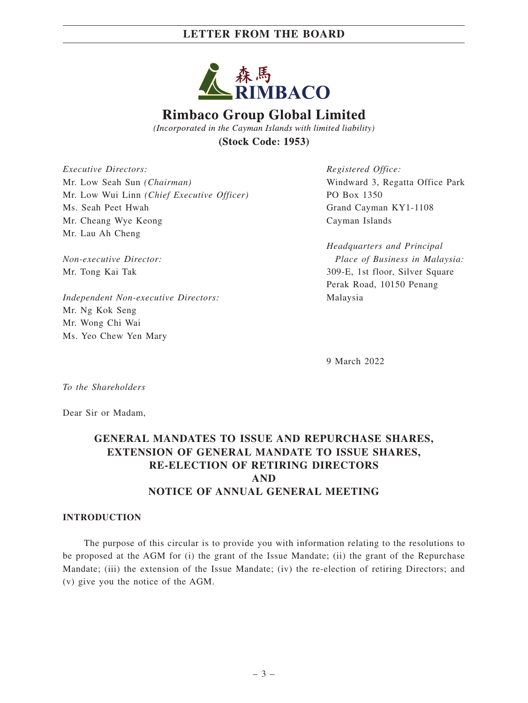

# **Rimbaco Group Global Limited**

(Incorporated in the Cayman Islands with limited liability)

**(Stock Code: 1953)** 

*Executive Directors:* Mr. Low Seah Sun *(Chairman)* Mr. Low Wui Linn *(Chief Executive Officer)* Ms. Seah Peet Hwah Mr. Cheang Wye Keong Mr. Lau Ah Cheng

*Non-executive Director:* Mr. Tong Kai Tak

*Independent Non-executive Directors:* Mr. Ng Kok Seng Mr. Wong Chi Wai Ms. Yeo Chew Yen Mary

*Registered Office:* Windward 3, Regatta Office Park PO Box 1350 Grand Cayman KY1-1108 Cayman Islands

*Headquarters and Principal Place of Business in Malaysia:* 309-E, 1st floor, Silver Square Perak Road, 10150 Penang Malaysia

9 March 2022

*To the Shareholders*

Dear Sir or Madam,

# **GENERAL MANDATES TO ISSUE AND REPURCHASE SHARES, EXTENSION OF GENERAL MANDATE TO ISSUE SHARES, RE-ELECTION OF RETIRING DIRECTORS AND NOTICE OF ANNUAL GENERAL MEETING**

### **INTRODUCTION**

The purpose of this circular is to provide you with information relating to the resolutions to be proposed at the AGM for (i) the grant of the Issue Mandate; (ii) the grant of the Repurchase Mandate; (iii) the extension of the Issue Mandate; (iv) the re-election of retiring Directors; and (v) give you the notice of the AGM.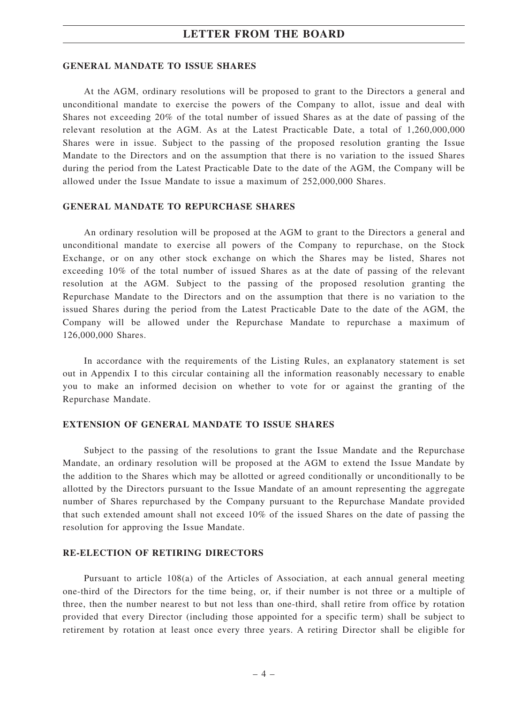#### **GENERAL MANDATE TO ISSUE SHARES**

At the AGM, ordinary resolutions will be proposed to grant to the Directors a general and unconditional mandate to exercise the powers of the Company to allot, issue and deal with Shares not exceeding 20% of the total number of issued Shares as at the date of passing of the relevant resolution at the AGM. As at the Latest Practicable Date, a total of 1,260,000,000 Shares were in issue. Subject to the passing of the proposed resolution granting the Issue Mandate to the Directors and on the assumption that there is no variation to the issued Shares during the period from the Latest Practicable Date to the date of the AGM, the Company will be allowed under the Issue Mandate to issue a maximum of 252,000,000 Shares.

#### **GENERAL MANDATE TO REPURCHASE SHARES**

An ordinary resolution will be proposed at the AGM to grant to the Directors a general and unconditional mandate to exercise all powers of the Company to repurchase, on the Stock Exchange, or on any other stock exchange on which the Shares may be listed, Shares not exceeding 10% of the total number of issued Shares as at the date of passing of the relevant resolution at the AGM. Subject to the passing of the proposed resolution granting the Repurchase Mandate to the Directors and on the assumption that there is no variation to the issued Shares during the period from the Latest Practicable Date to the date of the AGM, the Company will be allowed under the Repurchase Mandate to repurchase a maximum of 126,000,000 Shares.

In accordance with the requirements of the Listing Rules, an explanatory statement is set out in Appendix I to this circular containing all the information reasonably necessary to enable you to make an informed decision on whether to vote for or against the granting of the Repurchase Mandate.

### **EXTENSION OF GENERAL MANDATE TO ISSUE SHARES**

Subject to the passing of the resolutions to grant the Issue Mandate and the Repurchase Mandate, an ordinary resolution will be proposed at the AGM to extend the Issue Mandate by the addition to the Shares which may be allotted or agreed conditionally or unconditionally to be allotted by the Directors pursuant to the Issue Mandate of an amount representing the aggregate number of Shares repurchased by the Company pursuant to the Repurchase Mandate provided that such extended amount shall not exceed 10% of the issued Shares on the date of passing the resolution for approving the Issue Mandate.

#### **RE-ELECTION OF RETIRING DIRECTORS**

Pursuant to article 108(a) of the Articles of Association, at each annual general meeting one-third of the Directors for the time being, or, if their number is not three or a multiple of three, then the number nearest to but not less than one-third, shall retire from office by rotation provided that every Director (including those appointed for a specific term) shall be subject to retirement by rotation at least once every three years. A retiring Director shall be eligible for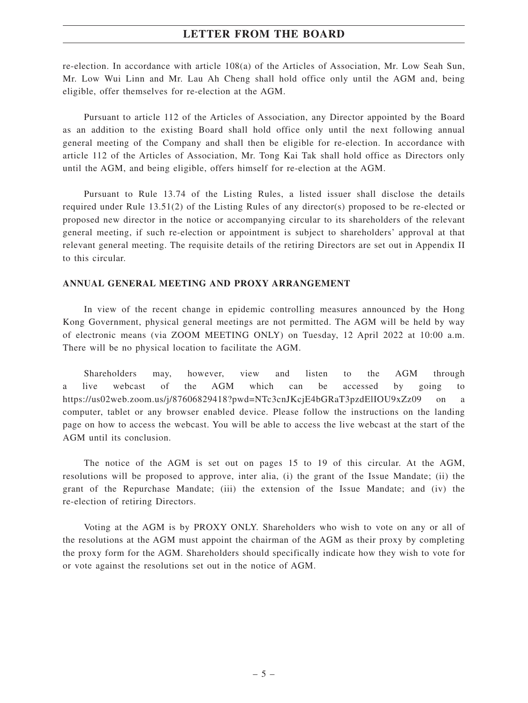re-election. In accordance with article 108(a) of the Articles of Association, Mr. Low Seah Sun, Mr. Low Wui Linn and Mr. Lau Ah Cheng shall hold office only until the AGM and, being eligible, offer themselves for re-election at the AGM.

Pursuant to article 112 of the Articles of Association, any Director appointed by the Board as an addition to the existing Board shall hold office only until the next following annual general meeting of the Company and shall then be eligible for re-election. In accordance with article 112 of the Articles of Association, Mr. Tong Kai Tak shall hold office as Directors only until the AGM, and being eligible, offers himself for re-election at the AGM.

Pursuant to Rule 13.74 of the Listing Rules, a listed issuer shall disclose the details required under Rule 13.51(2) of the Listing Rules of any director(s) proposed to be re-elected or proposed new director in the notice or accompanying circular to its shareholders of the relevant general meeting, if such re-election or appointment is subject to shareholders' approval at that relevant general meeting. The requisite details of the retiring Directors are set out in Appendix II to this circular.

#### **ANNUAL GENERAL MEETING AND PROXY ARRANGEMENT**

In view of the recent change in epidemic controlling measures announced by the Hong Kong Government, physical general meetings are not permitted. The AGM will be held by way of electronic means (via ZOOM MEETING ONLY) on Tuesday, 12 April 2022 at 10:00 a.m. There will be no physical location to facilitate the AGM.

Shareholders may, however, view and listen to the AGM through a live webcast of the AGM which can be accessed by going to https://us02web.zoom.us/j/87606829418?pwd=NTc3cnJKcjE4bGRaT3pzdElIOU9xZz09 on a computer, tablet or any browser enabled device. Please follow the instructions on the landing page on how to access the webcast. You will be able to access the live webcast at the start of the AGM until its conclusion.

The notice of the AGM is set out on pages 15 to 19 of this circular. At the AGM, resolutions will be proposed to approve, inter alia, (i) the grant of the Issue Mandate; (ii) the grant of the Repurchase Mandate; (iii) the extension of the Issue Mandate; and (iv) the re-election of retiring Directors.

Voting at the AGM is by PROXY ONLY. Shareholders who wish to vote on any or all of the resolutions at the AGM must appoint the chairman of the AGM as their proxy by completing the proxy form for the AGM. Shareholders should specifically indicate how they wish to vote for or vote against the resolutions set out in the notice of AGM.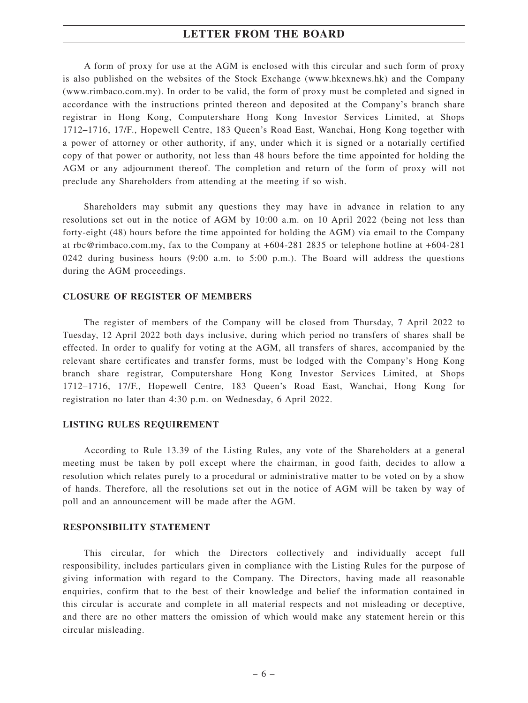A form of proxy for use at the AGM is enclosed with this circular and such form of proxy is also published on the websites of the Stock Exchange (www.hkexnews.hk) and the Company (www.rimbaco.com.my). In order to be valid, the form of proxy must be completed and signed in accordance with the instructions printed thereon and deposited at the Company's branch share registrar in Hong Kong, Computershare Hong Kong Investor Services Limited, at Shops 1712–1716, 17/F., Hopewell Centre, 183 Queen's Road East, Wanchai, Hong Kong together with a power of attorney or other authority, if any, under which it is signed or a notarially certified copy of that power or authority, not less than 48 hours before the time appointed for holding the AGM or any adjournment thereof. The completion and return of the form of proxy will not preclude any Shareholders from attending at the meeting if so wish.

Shareholders may submit any questions they may have in advance in relation to any resolutions set out in the notice of AGM by 10:00 a.m. on 10 April 2022 (being not less than forty-eight (48) hours before the time appointed for holding the AGM) via email to the Company at rbc@rimbaco.com.my, fax to the Company at +604-281 2835 or telephone hotline at +604-281 0242 during business hours (9:00 a.m. to 5:00 p.m.). The Board will address the questions during the AGM proceedings.

### **CLOSURE OF REGISTER OF MEMBERS**

The register of members of the Company will be closed from Thursday, 7 April 2022 to Tuesday, 12 April 2022 both days inclusive, during which period no transfers of shares shall be effected. In order to qualify for voting at the AGM, all transfers of shares, accompanied by the relevant share certificates and transfer forms, must be lodged with the Company's Hong Kong branch share registrar, Computershare Hong Kong Investor Services Limited, at Shops 1712–1716, 17/F., Hopewell Centre, 183 Queen's Road East, Wanchai, Hong Kong for registration no later than 4:30 p.m. on Wednesday, 6 April 2022.

#### **LISTING RULES REQUIREMENT**

According to Rule 13.39 of the Listing Rules, any vote of the Shareholders at a general meeting must be taken by poll except where the chairman, in good faith, decides to allow a resolution which relates purely to a procedural or administrative matter to be voted on by a show of hands. Therefore, all the resolutions set out in the notice of AGM will be taken by way of poll and an announcement will be made after the AGM.

#### **RESPONSIBILITY STATEMENT**

This circular, for which the Directors collectively and individually accept full responsibility, includes particulars given in compliance with the Listing Rules for the purpose of giving information with regard to the Company. The Directors, having made all reasonable enquiries, confirm that to the best of their knowledge and belief the information contained in this circular is accurate and complete in all material respects and not misleading or deceptive, and there are no other matters the omission of which would make any statement herein or this circular misleading.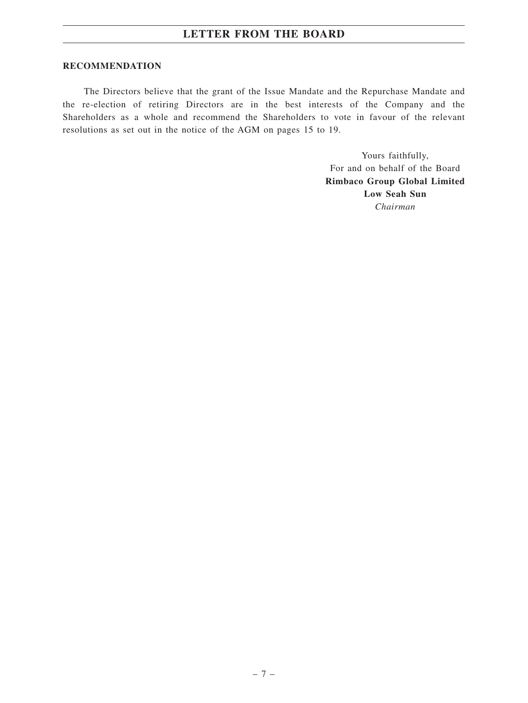### **RECOMMENDATION**

The Directors believe that the grant of the Issue Mandate and the Repurchase Mandate and the re-election of retiring Directors are in the best interests of the Company and the Shareholders as a whole and recommend the Shareholders to vote in favour of the relevant resolutions as set out in the notice of the AGM on pages 15 to 19.

> Yours faithfully, For and on behalf of the Board **Rimbaco Group Global Limited Low Seah Sun** *Chairman*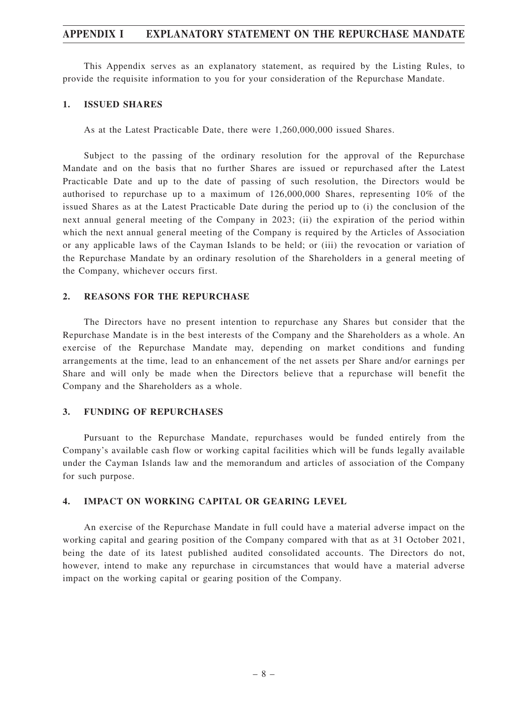### **APPENDIX I EXPLANATORY STATEMENT ON THE REPURCHASE MANDATE**

This Appendix serves as an explanatory statement, as required by the Listing Rules, to provide the requisite information to you for your consideration of the Repurchase Mandate.

### **1. ISSUED SHARES**

As at the Latest Practicable Date, there were 1,260,000,000 issued Shares.

Subject to the passing of the ordinary resolution for the approval of the Repurchase Mandate and on the basis that no further Shares are issued or repurchased after the Latest Practicable Date and up to the date of passing of such resolution, the Directors would be authorised to repurchase up to a maximum of 126,000,000 Shares, representing 10% of the issued Shares as at the Latest Practicable Date during the period up to (i) the conclusion of the next annual general meeting of the Company in 2023; (ii) the expiration of the period within which the next annual general meeting of the Company is required by the Articles of Association or any applicable laws of the Cayman Islands to be held; or (iii) the revocation or variation of the Repurchase Mandate by an ordinary resolution of the Shareholders in a general meeting of the Company, whichever occurs first.

### **2. REASONS FOR THE REPURCHASE**

The Directors have no present intention to repurchase any Shares but consider that the Repurchase Mandate is in the best interests of the Company and the Shareholders as a whole. An exercise of the Repurchase Mandate may, depending on market conditions and funding arrangements at the time, lead to an enhancement of the net assets per Share and/or earnings per Share and will only be made when the Directors believe that a repurchase will benefit the Company and the Shareholders as a whole.

### **3. FUNDING OF REPURCHASES**

Pursuant to the Repurchase Mandate, repurchases would be funded entirely from the Company's available cash flow or working capital facilities which will be funds legally available under the Cayman Islands law and the memorandum and articles of association of the Company for such purpose.

### **4. IMPACT ON WORKING CAPITAL OR GEARING LEVEL**

An exercise of the Repurchase Mandate in full could have a material adverse impact on the working capital and gearing position of the Company compared with that as at 31 October 2021, being the date of its latest published audited consolidated accounts. The Directors do not, however, intend to make any repurchase in circumstances that would have a material adverse impact on the working capital or gearing position of the Company.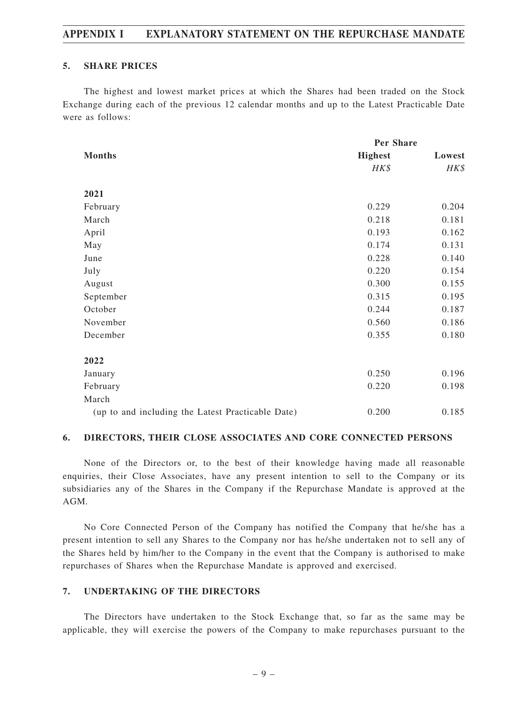### **APPENDIX I EXPLANATORY STATEMENT ON THE REPURCHASE MANDATE**

#### **5. SHARE PRICES**

The highest and lowest market prices at which the Shares had been traded on the Stock Exchange during each of the previous 12 calendar months and up to the Latest Practicable Date were as follows:

|                                                   | Per Share      |        |
|---------------------------------------------------|----------------|--------|
| <b>Months</b>                                     | <b>Highest</b> | Lowest |
|                                                   | HK\$           | HK\$   |
| 2021                                              |                |        |
| February                                          | 0.229          | 0.204  |
| March                                             | 0.218          | 0.181  |
| April                                             | 0.193          | 0.162  |
| May                                               | 0.174          | 0.131  |
| June                                              | 0.228          | 0.140  |
| July                                              | 0.220          | 0.154  |
| August                                            | 0.300          | 0.155  |
| September                                         | 0.315          | 0.195  |
| October                                           | 0.244          | 0.187  |
| November                                          | 0.560          | 0.186  |
| December                                          | 0.355          | 0.180  |
| 2022                                              |                |        |
| January                                           | 0.250          | 0.196  |
| February                                          | 0.220          | 0.198  |
| March                                             |                |        |
| (up to and including the Latest Practicable Date) | 0.200          | 0.185  |

#### **6. DIRECTORS, THEIR CLOSE ASSOCIATES AND CORE CONNECTED PERSONS**

None of the Directors or, to the best of their knowledge having made all reasonable enquiries, their Close Associates, have any present intention to sell to the Company or its subsidiaries any of the Shares in the Company if the Repurchase Mandate is approved at the AGM.

No Core Connected Person of the Company has notified the Company that he/she has a present intention to sell any Shares to the Company nor has he/she undertaken not to sell any of the Shares held by him/her to the Company in the event that the Company is authorised to make repurchases of Shares when the Repurchase Mandate is approved and exercised.

### **7. UNDERTAKING OF THE DIRECTORS**

The Directors have undertaken to the Stock Exchange that, so far as the same may be applicable, they will exercise the powers of the Company to make repurchases pursuant to the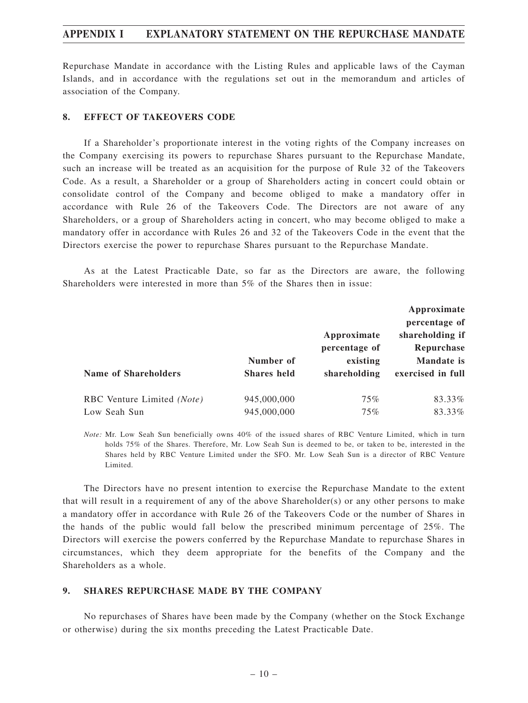### **APPENDIX I EXPLANATORY STATEMENT ON THE REPURCHASE MANDATE**

Repurchase Mandate in accordance with the Listing Rules and applicable laws of the Cayman Islands, and in accordance with the regulations set out in the memorandum and articles of association of the Company.

#### **8. EFFECT OF TAKEOVERS CODE**

If a Shareholder's proportionate interest in the voting rights of the Company increases on the Company exercising its powers to repurchase Shares pursuant to the Repurchase Mandate, such an increase will be treated as an acquisition for the purpose of Rule 32 of the Takeovers Code. As a result, a Shareholder or a group of Shareholders acting in concert could obtain or consolidate control of the Company and become obliged to make a mandatory offer in accordance with Rule 26 of the Takeovers Code. The Directors are not aware of any Shareholders, or a group of Shareholders acting in concert, who may become obliged to make a mandatory offer in accordance with Rules 26 and 32 of the Takeovers Code in the event that the Directors exercise the power to repurchase Shares pursuant to the Repurchase Mandate.

As at the Latest Practicable Date, so far as the Directors are aware, the following Shareholders were interested in more than 5% of the Shares then in issue:

| <b>Name of Shareholders</b> | Number of<br><b>Shares</b> held | Approximate<br>percentage of<br>existing<br>shareholding | Approximate<br>percentage of<br>shareholding if<br>Repurchase<br><b>Mandate</b> is<br>exercised in full |
|-----------------------------|---------------------------------|----------------------------------------------------------|---------------------------------------------------------------------------------------------------------|
| RBC Venture Limited (Note)  | 945,000,000                     | 75%                                                      | 83.33%                                                                                                  |
| Low Seah Sun                | 945,000,000                     | 75%                                                      | 83.33%                                                                                                  |

*Note:* Mr. Low Seah Sun beneficially owns 40% of the issued shares of RBC Venture Limited, which in turn holds 75% of the Shares. Therefore, Mr. Low Seah Sun is deemed to be, or taken to be, interested in the Shares held by RBC Venture Limited under the SFO. Mr. Low Seah Sun is a director of RBC Venture Limited.

The Directors have no present intention to exercise the Repurchase Mandate to the extent that will result in a requirement of any of the above Shareholder(s) or any other persons to make a mandatory offer in accordance with Rule 26 of the Takeovers Code or the number of Shares in the hands of the public would fall below the prescribed minimum percentage of 25%. The Directors will exercise the powers conferred by the Repurchase Mandate to repurchase Shares in circumstances, which they deem appropriate for the benefits of the Company and the Shareholders as a whole.

### **9. SHARES REPURCHASE MADE BY THE COMPANY**

No repurchases of Shares have been made by the Company (whether on the Stock Exchange or otherwise) during the six months preceding the Latest Practicable Date.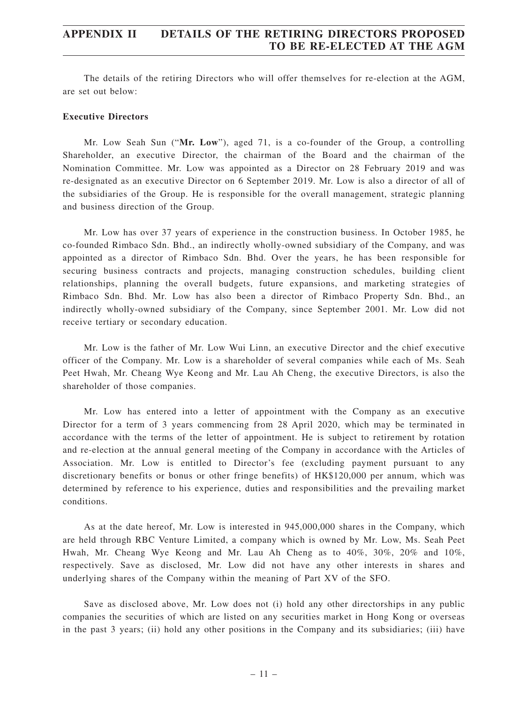The details of the retiring Directors who will offer themselves for re-election at the AGM, are set out below:

#### **Executive Directors**

Mr. Low Seah Sun ("**Mr. Low**"), aged 71, is a co-founder of the Group, a controlling Shareholder, an executive Director, the chairman of the Board and the chairman of the Nomination Committee. Mr. Low was appointed as a Director on 28 February 2019 and was re-designated as an executive Director on 6 September 2019. Mr. Low is also a director of all of the subsidiaries of the Group. He is responsible for the overall management, strategic planning and business direction of the Group.

Mr. Low has over 37 years of experience in the construction business. In October 1985, he co-founded Rimbaco Sdn. Bhd., an indirectly wholly-owned subsidiary of the Company, and was appointed as a director of Rimbaco Sdn. Bhd. Over the years, he has been responsible for securing business contracts and projects, managing construction schedules, building client relationships, planning the overall budgets, future expansions, and marketing strategies of Rimbaco Sdn. Bhd. Mr. Low has also been a director of Rimbaco Property Sdn. Bhd., an indirectly wholly-owned subsidiary of the Company, since September 2001. Mr. Low did not receive tertiary or secondary education.

Mr. Low is the father of Mr. Low Wui Linn, an executive Director and the chief executive officer of the Company. Mr. Low is a shareholder of several companies while each of Ms. Seah Peet Hwah, Mr. Cheang Wye Keong and Mr. Lau Ah Cheng, the executive Directors, is also the shareholder of those companies.

Mr. Low has entered into a letter of appointment with the Company as an executive Director for a term of 3 years commencing from 28 April 2020, which may be terminated in accordance with the terms of the letter of appointment. He is subject to retirement by rotation and re-election at the annual general meeting of the Company in accordance with the Articles of Association. Mr. Low is entitled to Director's fee (excluding payment pursuant to any discretionary benefits or bonus or other fringe benefits) of HK\$120,000 per annum, which was determined by reference to his experience, duties and responsibilities and the prevailing market conditions.

As at the date hereof, Mr. Low is interested in 945,000,000 shares in the Company, which are held through RBC Venture Limited, a company which is owned by Mr. Low, Ms. Seah Peet Hwah, Mr. Cheang Wye Keong and Mr. Lau Ah Cheng as to 40%, 30%, 20% and 10%, respectively. Save as disclosed, Mr. Low did not have any other interests in shares and underlying shares of the Company within the meaning of Part XV of the SFO.

Save as disclosed above, Mr. Low does not (i) hold any other directorships in any public companies the securities of which are listed on any securities market in Hong Kong or overseas in the past 3 years; (ii) hold any other positions in the Company and its subsidiaries; (iii) have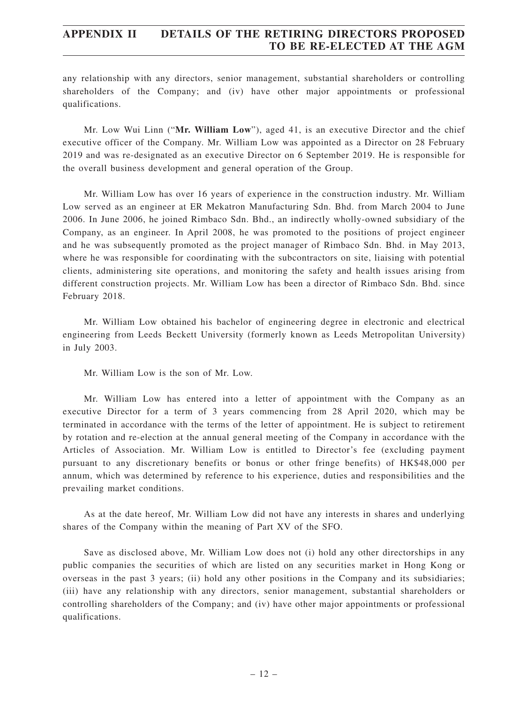any relationship with any directors, senior management, substantial shareholders or controlling shareholders of the Company; and (iv) have other major appointments or professional qualifications.

Mr. Low Wui Linn ("**Mr. William Low**"), aged 41, is an executive Director and the chief executive officer of the Company. Mr. William Low was appointed as a Director on 28 February 2019 and was re-designated as an executive Director on 6 September 2019. He is responsible for the overall business development and general operation of the Group.

Mr. William Low has over 16 years of experience in the construction industry. Mr. William Low served as an engineer at ER Mekatron Manufacturing Sdn. Bhd. from March 2004 to June 2006. In June 2006, he joined Rimbaco Sdn. Bhd., an indirectly wholly-owned subsidiary of the Company, as an engineer. In April 2008, he was promoted to the positions of project engineer and he was subsequently promoted as the project manager of Rimbaco Sdn. Bhd. in May 2013, where he was responsible for coordinating with the subcontractors on site, liaising with potential clients, administering site operations, and monitoring the safety and health issues arising from different construction projects. Mr. William Low has been a director of Rimbaco Sdn. Bhd. since February 2018.

Mr. William Low obtained his bachelor of engineering degree in electronic and electrical engineering from Leeds Beckett University (formerly known as Leeds Metropolitan University) in July 2003.

Mr. William Low is the son of Mr. Low.

Mr. William Low has entered into a letter of appointment with the Company as an executive Director for a term of 3 years commencing from 28 April 2020, which may be terminated in accordance with the terms of the letter of appointment. He is subject to retirement by rotation and re-election at the annual general meeting of the Company in accordance with the Articles of Association. Mr. William Low is entitled to Director's fee (excluding payment pursuant to any discretionary benefits or bonus or other fringe benefits) of HK\$48,000 per annum, which was determined by reference to his experience, duties and responsibilities and the prevailing market conditions.

As at the date hereof, Mr. William Low did not have any interests in shares and underlying shares of the Company within the meaning of Part XV of the SFO.

Save as disclosed above, Mr. William Low does not (i) hold any other directorships in any public companies the securities of which are listed on any securities market in Hong Kong or overseas in the past 3 years; (ii) hold any other positions in the Company and its subsidiaries; (iii) have any relationship with any directors, senior management, substantial shareholders or controlling shareholders of the Company; and (iv) have other major appointments or professional qualifications.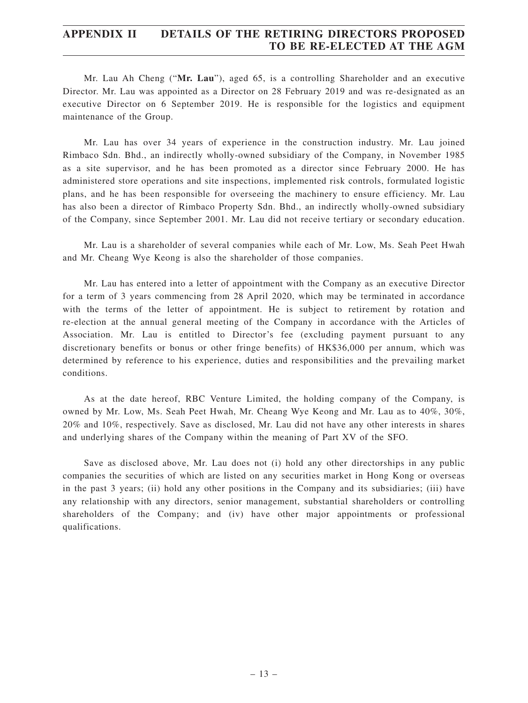Mr. Lau Ah Cheng ("**Mr. Lau**"), aged 65, is a controlling Shareholder and an executive Director. Mr. Lau was appointed as a Director on 28 February 2019 and was re-designated as an executive Director on 6 September 2019. He is responsible for the logistics and equipment maintenance of the Group.

Mr. Lau has over 34 years of experience in the construction industry. Mr. Lau joined Rimbaco Sdn. Bhd., an indirectly wholly-owned subsidiary of the Company, in November 1985 as a site supervisor, and he has been promoted as a director since February 2000. He has administered store operations and site inspections, implemented risk controls, formulated logistic plans, and he has been responsible for overseeing the machinery to ensure efficiency. Mr. Lau has also been a director of Rimbaco Property Sdn. Bhd., an indirectly wholly-owned subsidiary of the Company, since September 2001. Mr. Lau did not receive tertiary or secondary education.

Mr. Lau is a shareholder of several companies while each of Mr. Low, Ms. Seah Peet Hwah and Mr. Cheang Wye Keong is also the shareholder of those companies.

Mr. Lau has entered into a letter of appointment with the Company as an executive Director for a term of 3 years commencing from 28 April 2020, which may be terminated in accordance with the terms of the letter of appointment. He is subject to retirement by rotation and re-election at the annual general meeting of the Company in accordance with the Articles of Association. Mr. Lau is entitled to Director's fee (excluding payment pursuant to any discretionary benefits or bonus or other fringe benefits) of HK\$36,000 per annum, which was determined by reference to his experience, duties and responsibilities and the prevailing market conditions.

As at the date hereof, RBC Venture Limited, the holding company of the Company, is owned by Mr. Low, Ms. Seah Peet Hwah, Mr. Cheang Wye Keong and Mr. Lau as to 40%, 30%, 20% and 10%, respectively. Save as disclosed, Mr. Lau did not have any other interests in shares and underlying shares of the Company within the meaning of Part XV of the SFO.

Save as disclosed above, Mr. Lau does not (i) hold any other directorships in any public companies the securities of which are listed on any securities market in Hong Kong or overseas in the past 3 years; (ii) hold any other positions in the Company and its subsidiaries; (iii) have any relationship with any directors, senior management, substantial shareholders or controlling shareholders of the Company; and (iv) have other major appointments or professional qualifications.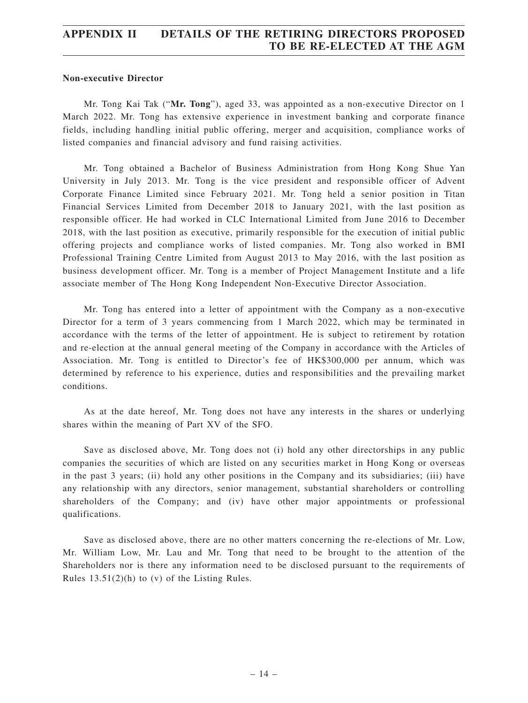### **Non-executive Director**

Mr. Tong Kai Tak ("**Mr. Tong**"), aged 33, was appointed as a non-executive Director on 1 March 2022. Mr. Tong has extensive experience in investment banking and corporate finance fields, including handling initial public offering, merger and acquisition, compliance works of listed companies and financial advisory and fund raising activities.

Mr. Tong obtained a Bachelor of Business Administration from Hong Kong Shue Yan University in July 2013. Mr. Tong is the vice president and responsible officer of Advent Corporate Finance Limited since February 2021. Mr. Tong held a senior position in Titan Financial Services Limited from December 2018 to January 2021, with the last position as responsible officer. He had worked in CLC International Limited from June 2016 to December 2018, with the last position as executive, primarily responsible for the execution of initial public offering projects and compliance works of listed companies. Mr. Tong also worked in BMI Professional Training Centre Limited from August 2013 to May 2016, with the last position as business development officer. Mr. Tong is a member of Project Management Institute and a life associate member of The Hong Kong Independent Non-Executive Director Association.

Mr. Tong has entered into a letter of appointment with the Company as a non-executive Director for a term of 3 years commencing from 1 March 2022, which may be terminated in accordance with the terms of the letter of appointment. He is subject to retirement by rotation and re-election at the annual general meeting of the Company in accordance with the Articles of Association. Mr. Tong is entitled to Director's fee of HK\$300,000 per annum, which was determined by reference to his experience, duties and responsibilities and the prevailing market conditions.

As at the date hereof, Mr. Tong does not have any interests in the shares or underlying shares within the meaning of Part XV of the SFO.

Save as disclosed above, Mr. Tong does not (i) hold any other directorships in any public companies the securities of which are listed on any securities market in Hong Kong or overseas in the past 3 years; (ii) hold any other positions in the Company and its subsidiaries; (iii) have any relationship with any directors, senior management, substantial shareholders or controlling shareholders of the Company; and (iv) have other major appointments or professional qualifications.

Save as disclosed above, there are no other matters concerning the re-elections of Mr. Low, Mr. William Low, Mr. Lau and Mr. Tong that need to be brought to the attention of the Shareholders nor is there any information need to be disclosed pursuant to the requirements of Rules  $13.51(2)(h)$  to (v) of the Listing Rules.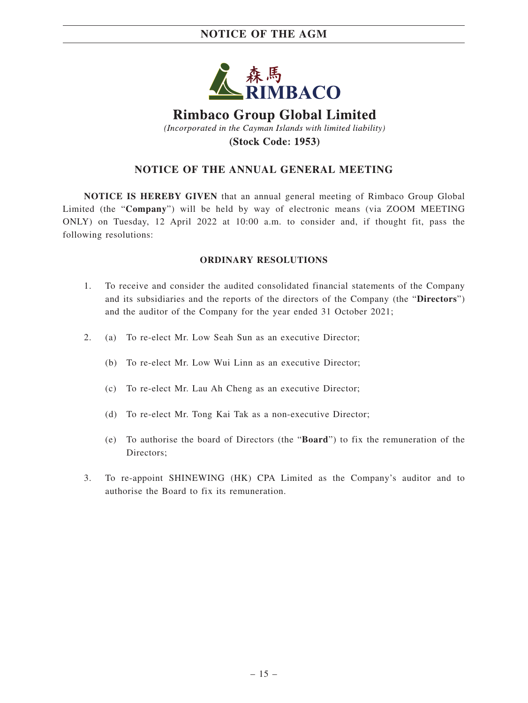

# **Rimbaco Group Global Limited** (Incorporated in the Cayman Islands with limited liability) **(Stock Code: 1953)**

# **NOTICE OF THE ANNUAL GENERAL MEETING**

**NOTICE IS HEREBY GIVEN** that an annual general meeting of Rimbaco Group Global Limited (the "**Company**") will be held by way of electronic means (via ZOOM MEETING ONLY) on Tuesday, 12 April 2022 at 10:00 a.m. to consider and, if thought fit, pass the following resolutions:

### **ORDINARY RESOLUTIONS**

- 1. To receive and consider the audited consolidated financial statements of the Company and its subsidiaries and the reports of the directors of the Company (the "**Directors**") and the auditor of the Company for the year ended 31 October 2021;
- 2. (a) To re-elect Mr. Low Seah Sun as an executive Director;
	- (b) To re-elect Mr. Low Wui Linn as an executive Director;
	- (c) To re-elect Mr. Lau Ah Cheng as an executive Director;
	- (d) To re-elect Mr. Tong Kai Tak as a non-executive Director;
	- (e) To authorise the board of Directors (the "**Board**") to fix the remuneration of the Directors:
- 3. To re-appoint SHINEWING (HK) CPA Limited as the Company's auditor and to authorise the Board to fix its remuneration.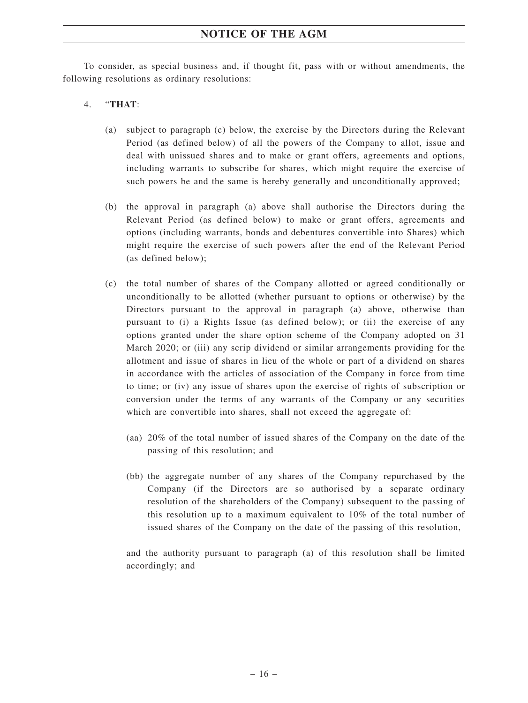To consider, as special business and, if thought fit, pass with or without amendments, the following resolutions as ordinary resolutions:

### 4. "**THAT**:

- (a) subject to paragraph (c) below, the exercise by the Directors during the Relevant Period (as defined below) of all the powers of the Company to allot, issue and deal with unissued shares and to make or grant offers, agreements and options, including warrants to subscribe for shares, which might require the exercise of such powers be and the same is hereby generally and unconditionally approved;
- (b) the approval in paragraph (a) above shall authorise the Directors during the Relevant Period (as defined below) to make or grant offers, agreements and options (including warrants, bonds and debentures convertible into Shares) which might require the exercise of such powers after the end of the Relevant Period (as defined below);
- (c) the total number of shares of the Company allotted or agreed conditionally or unconditionally to be allotted (whether pursuant to options or otherwise) by the Directors pursuant to the approval in paragraph (a) above, otherwise than pursuant to (i) a Rights Issue (as defined below); or (ii) the exercise of any options granted under the share option scheme of the Company adopted on 31 March 2020; or (iii) any scrip dividend or similar arrangements providing for the allotment and issue of shares in lieu of the whole or part of a dividend on shares in accordance with the articles of association of the Company in force from time to time; or (iv) any issue of shares upon the exercise of rights of subscription or conversion under the terms of any warrants of the Company or any securities which are convertible into shares, shall not exceed the aggregate of:
	- (aa) 20% of the total number of issued shares of the Company on the date of the passing of this resolution; and
	- (bb) the aggregate number of any shares of the Company repurchased by the Company (if the Directors are so authorised by a separate ordinary resolution of the shareholders of the Company) subsequent to the passing of this resolution up to a maximum equivalent to 10% of the total number of issued shares of the Company on the date of the passing of this resolution,

and the authority pursuant to paragraph (a) of this resolution shall be limited accordingly; and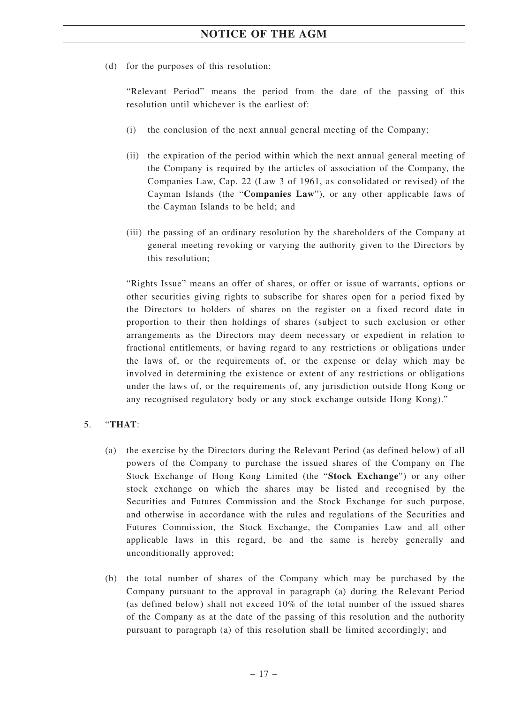(d) for the purposes of this resolution:

"Relevant Period" means the period from the date of the passing of this resolution until whichever is the earliest of:

- (i) the conclusion of the next annual general meeting of the Company;
- (ii) the expiration of the period within which the next annual general meeting of the Company is required by the articles of association of the Company, the Companies Law, Cap. 22 (Law 3 of 1961, as consolidated or revised) of the Cayman Islands (the "**Companies Law**"), or any other applicable laws of the Cayman Islands to be held; and
- (iii) the passing of an ordinary resolution by the shareholders of the Company at general meeting revoking or varying the authority given to the Directors by this resolution;

"Rights Issue" means an offer of shares, or offer or issue of warrants, options or other securities giving rights to subscribe for shares open for a period fixed by the Directors to holders of shares on the register on a fixed record date in proportion to their then holdings of shares (subject to such exclusion or other arrangements as the Directors may deem necessary or expedient in relation to fractional entitlements, or having regard to any restrictions or obligations under the laws of, or the requirements of, or the expense or delay which may be involved in determining the existence or extent of any restrictions or obligations under the laws of, or the requirements of, any jurisdiction outside Hong Kong or any recognised regulatory body or any stock exchange outside Hong Kong)."

### 5. "**THAT**:

- (a) the exercise by the Directors during the Relevant Period (as defined below) of all powers of the Company to purchase the issued shares of the Company on The Stock Exchange of Hong Kong Limited (the "**Stock Exchange**") or any other stock exchange on which the shares may be listed and recognised by the Securities and Futures Commission and the Stock Exchange for such purpose, and otherwise in accordance with the rules and regulations of the Securities and Futures Commission, the Stock Exchange, the Companies Law and all other applicable laws in this regard, be and the same is hereby generally and unconditionally approved;
- (b) the total number of shares of the Company which may be purchased by the Company pursuant to the approval in paragraph (a) during the Relevant Period (as defined below) shall not exceed 10% of the total number of the issued shares of the Company as at the date of the passing of this resolution and the authority pursuant to paragraph (a) of this resolution shall be limited accordingly; and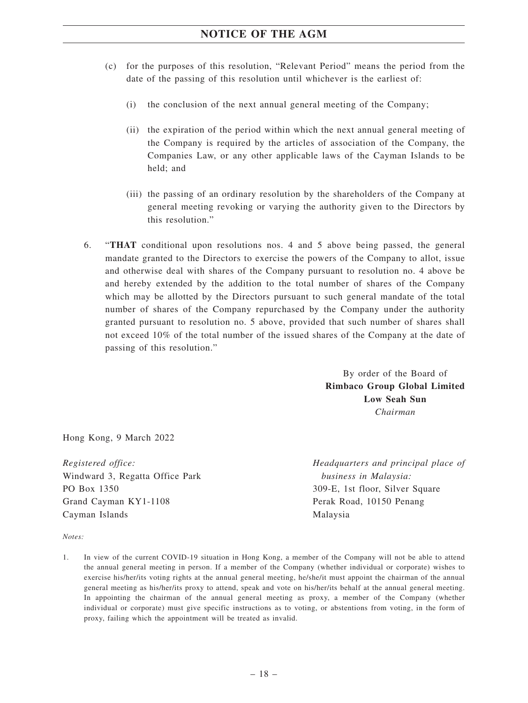- (c) for the purposes of this resolution, "Relevant Period" means the period from the date of the passing of this resolution until whichever is the earliest of:
	- (i) the conclusion of the next annual general meeting of the Company;
	- (ii) the expiration of the period within which the next annual general meeting of the Company is required by the articles of association of the Company, the Companies Law, or any other applicable laws of the Cayman Islands to be held; and
	- (iii) the passing of an ordinary resolution by the shareholders of the Company at general meeting revoking or varying the authority given to the Directors by this resolution."
- 6. "**THAT** conditional upon resolutions nos. 4 and 5 above being passed, the general mandate granted to the Directors to exercise the powers of the Company to allot, issue and otherwise deal with shares of the Company pursuant to resolution no. 4 above be and hereby extended by the addition to the total number of shares of the Company which may be allotted by the Directors pursuant to such general mandate of the total number of shares of the Company repurchased by the Company under the authority granted pursuant to resolution no. 5 above, provided that such number of shares shall not exceed 10% of the total number of the issued shares of the Company at the date of passing of this resolution."

By order of the Board of **Rimbaco Group Global Limited Low Seah Sun** *Chairman*

Hong Kong, 9 March 2022

*Registered office:* Windward 3, Regatta Office Park PO Box 1350 Grand Cayman KY1-1108 Cayman Islands

*Headquarters and principal place of business in Malaysia:* 309-E, 1st floor, Silver Square Perak Road, 10150 Penang Malaysia

*Notes:*

1. In view of the current COVID-19 situation in Hong Kong, a member of the Company will not be able to attend the annual general meeting in person. If a member of the Company (whether individual or corporate) wishes to exercise his/her/its voting rights at the annual general meeting, he/she/it must appoint the chairman of the annual general meeting as his/her/its proxy to attend, speak and vote on his/her/its behalf at the annual general meeting. In appointing the chairman of the annual general meeting as proxy, a member of the Company (whether individual or corporate) must give specific instructions as to voting, or abstentions from voting, in the form of proxy, failing which the appointment will be treated as invalid.